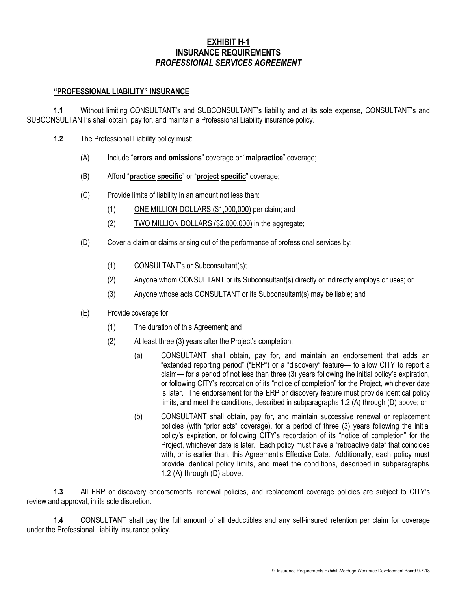# **EXHIBIT H-1 INSURANCE REQUIREMENTS** *PROFESSIONAL SERVICES AGREEMENT*

### **"PROFESSIONAL LIABILITY" INSURANCE**

**1.1** Without limiting CONSULTANT's and SUBCONSULTANT's liability and at its sole expense, CONSULTANT's and SUBCONSULTANT's shall obtain, pay for, and maintain a Professional Liability insurance policy.

- **1.2** The Professional Liability policy must:
	- (A) Include "**errors and omissions**" coverage or "**malpractice**" coverage;
	- (B) Afford "**practice specific**" or "**project specific**" coverage;
	- (C) Provide limits of liability in an amount not less than:
		- (1) ONE MILLION DOLLARS (\$1,000,000) per claim; and
		- (2) TWO MILLION DOLLARS (\$2,000,000) in the aggregate;
	- (D) Cover a claim or claims arising out of the performance of professional services by:
		- (1) CONSULTANT's or Subconsultant(s);
		- (2) Anyone whom CONSULTANT or its Subconsultant(s) directly or indirectly employs or uses; or
		- (3) Anyone whose acts CONSULTANT or its Subconsultant(s) may be liable; and
	- (E) Provide coverage for:
		- (1) The duration of this Agreement; and
		- (2) At least three (3) years after the Project's completion:
			- (a) CONSULTANT shall obtain, pay for, and maintain an endorsement that adds an "extended reporting period" ("ERP") or a "discovery" feature— to allow CITY to report a claim— for a period of not less than three (3) years following the initial policy's expiration, or following CITY's recordation of its "notice of completion" for the Project, whichever date is later. The endorsement for the ERP or discovery feature must provide identical policy limits, and meet the conditions, described in subparagraphs 1.2 (A) through (D) above; or
			- (b) CONSULTANT shall obtain, pay for, and maintain successive renewal or replacement policies (with "prior acts" coverage), for a period of three (3) years following the initial policy's expiration, or following CITY's recordation of its "notice of completion" for the Project, whichever date is later. Each policy must have a "retroactive date" that coincides with, or is earlier than, this Agreement's Effective Date. Additionally, each policy must provide identical policy limits, and meet the conditions, described in subparagraphs 1.2 (A) through (D) above.

**1.3** All ERP or discovery endorsements, renewal policies, and replacement coverage policies are subject to CITY's review and approval, in its sole discretion.

**1.4** CONSULTANT shall pay the full amount of all deductibles and any self-insured retention per claim for coverage under the Professional Liability insurance policy.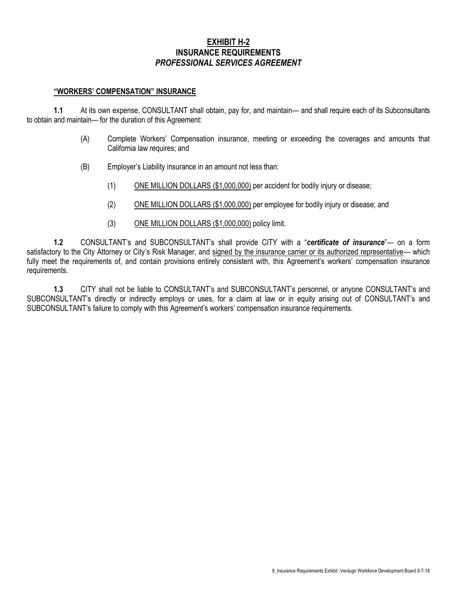# **EXHIBIT H-2 INSURANCE REQUIREMENTS** *PROFESSIONAL SERVICES AGREEMENT*

#### **"WORKERS' COMPENSATION" INSURANCE**

**1.1** At its own expense, CONSULTANT shall obtain, pay for, and maintain— and shall require each of its Subconsultants to obtain and maintain— for the duration of this Agreement:

- (A) Complete Workers' Compensation insurance, meeting or exceeding the coverages and amounts that California law requires; and
- (B) Employer's Liability insurance in an amount not less than:
	- (1) ONE MILLION DOLLARS (\$1,000,000) per accident for bodily injury or disease;
	- (2) ONE MILLION DOLLARS (\$1,000,000) per employee for bodily injury or disease; and
	- (3) ONE MILLION DOLLARS (\$1,000,000) policy limit.

**1.2** CONSULTANT's and SUBCONSULTANT's shall provide CITY with a "*certificate of insurance*"— on a form satisfactory to the City Attorney or City's Risk Manager, and signed by the insurance carrier or its authorized representative— which fully meet the requirements of, and contain provisions entirely consistent with, this Agreement's workers' compensation insurance requirements.

**1.3** CITY shall not be liable to CONSULTANT's and SUBCONSULTANT's personnel, or anyone CONSULTANT's and SUBCONSULTANT's directly or indirectly employs or uses, for a claim at law or in equity arising out of CONSULTANT's and SUBCONSULTANT's failure to comply with this Agreement's workers' compensation insurance requirements.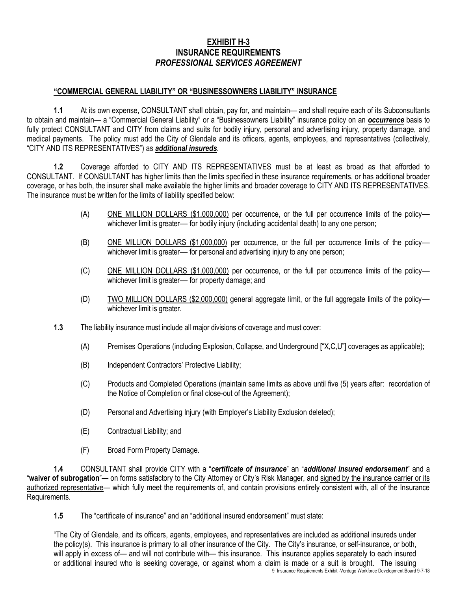# **EXHIBIT H-3 INSURANCE REQUIREMENTS** *PROFESSIONAL SERVICES AGREEMENT*

### **"COMMERCIAL GENERAL LIABILITY" OR "BUSINESSOWNERS LIABILITY" INSURANCE**

**1.1** At its own expense, CONSULTANT shall obtain, pay for, and maintain— and shall require each of its Subconsultants to obtain and maintain— a "Commercial General Liability" or a "Businessowners Liability" insurance policy on an *occurrence* basis to fully protect CONSULTANT and CITY from claims and suits for bodily injury, personal and advertising injury, property damage, and medical payments. The policy must add the City of Glendale and its officers, agents, employees, and representatives (collectively, "CITY AND ITS REPRESENTATIVES") as *additional insureds*.

**1.2** Coverage afforded to CITY AND ITS REPRESENTATIVES must be at least as broad as that afforded to CONSULTANT. If CONSULTANT has higher limits than the limits specified in these insurance requirements, or has additional broader coverage, or has both, the insurer shall make available the higher limits and broader coverage to CITY AND ITS REPRESENTATIVES. The insurance must be written for the limits of liability specified below:

- (A) ONE MILLION DOLLARS (\$1,000,000) per occurrence, or the full per occurrence limits of the policy― whichever limit is greater— for bodily injury (including accidental death) to any one person;
- (B) ONE MILLION DOLLARS (\$1,000,000) per occurrence, or the full per occurrence limits of the policy― whichever limit is greater— for personal and advertising injury to any one person;
- (C) ONE MILLION DOLLARS (\$1,000,000) per occurrence, or the full per occurrence limits of the policywhichever limit is greater— for property damage; and
- (D) TWO MILLION DOLLARS (\$2,000,000) general aggregate limit, or the full aggregate limits of the policy― whichever limit is greater.
- **1.3** The liability insurance must include all major divisions of coverage and must cover:
	- (A) Premises Operations (including Explosion, Collapse, and Underground ["X,C,U"] coverages as applicable);
	- (B) Independent Contractors' Protective Liability;
	- (C) Products and Completed Operations (maintain same limits as above until five (5) years after: recordation of the Notice of Completion or final close-out of the Agreement);
	- (D) Personal and Advertising Injury (with Employer's Liability Exclusion deleted);
	- (E) Contractual Liability; and
	- (F) Broad Form Property Damage.

**1.4** CONSULTANT shall provide CITY with a "*certificate of insurance*" an "*additional insured endorsement*" and a "**waiver of subrogation**"— on forms satisfactory to the City Attorney or City's Risk Manager, and signed by the insurance carrier or its authorized representative— which fully meet the requirements of, and contain provisions entirely consistent with, all of the Insurance Requirements.

**1.5** The "certificate of insurance" and an "additional insured endorsement" must state:

9\_Insurance Requirements Exhibit -Verdugo Workforce Development Board 9-7-18 "The City of Glendale, and its officers, agents, employees, and representatives are included as additional insureds under the policy(s). This insurance is primary to all other insurance of the City. The City's insurance, or self-insurance, or both, will apply in excess of— and will not contribute with— this insurance. This insurance applies separately to each insured or additional insured who is seeking coverage, or against whom a claim is made or a suit is brought. The issuing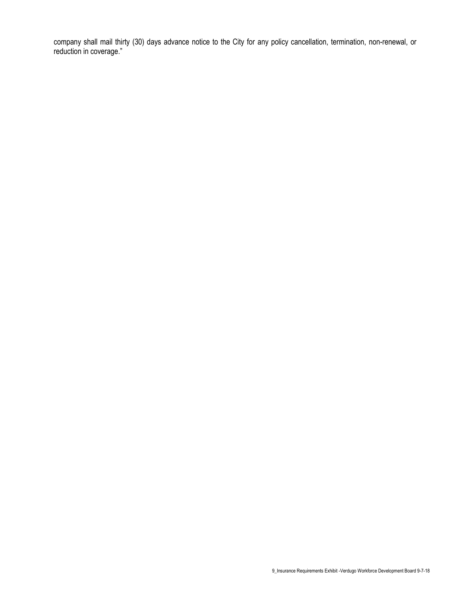company shall mail thirty (30) days advance notice to the City for any policy cancellation, termination, non-renewal, or reduction in coverage."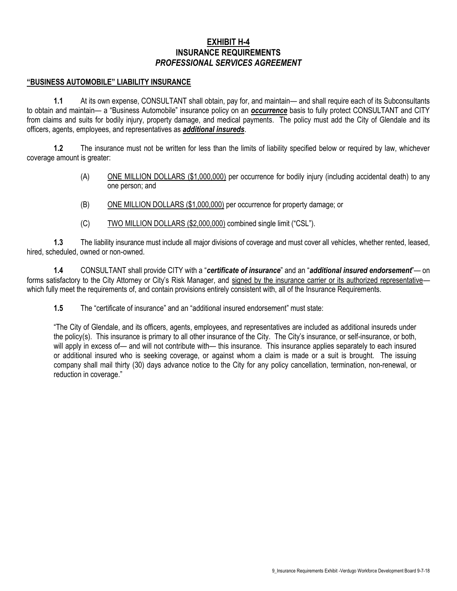## **EXHIBIT H-4 INSURANCE REQUIREMENTS** *PROFESSIONAL SERVICES AGREEMENT*

#### **"BUSINESS AUTOMOBILE" LIABILITY INSURANCE**

**1.1** At its own expense, CONSULTANT shall obtain, pay for, and maintain— and shall require each of its Subconsultants to obtain and maintain— a "Business Automobile" insurance policy on an *occurrence* basis to fully protect CONSULTANT and CITY from claims and suits for bodily injury, property damage, and medical payments. The policy must add the City of Glendale and its officers, agents, employees, and representatives as *additional insureds*.

**1.2** The insurance must not be written for less than the limits of liability specified below or required by law, whichever coverage amount is greater:

- (A) ONE MILLION DOLLARS (\$1,000,000) per occurrence for bodily injury (including accidental death) to any one person; and
- (B) ONE MILLION DOLLARS (\$1,000,000) per occurrence for property damage; or
- (C) TWO MILLION DOLLARS (\$2,000,000) combined single limit ("CSL").

**1.3** The liability insurance must include all major divisions of coverage and must cover all vehicles, whether rented, leased, hired, scheduled, owned or non-owned.

**1.4** CONSULTANT shall provide CITY with a "*certificate of insurance*" and an "*additional insured endorsement*"— on forms satisfactory to the City Attorney or City's Risk Manager, and signed by the insurance carrier or its authorized representative which fully meet the requirements of, and contain provisions entirely consistent with, all of the Insurance Requirements.

**1.5** The "certificate of insurance" and an "additional insured endorsement" must state:

"The City of Glendale, and its officers, agents, employees, and representatives are included as additional insureds under the policy(s). This insurance is primary to all other insurance of the City. The City's insurance, or self-insurance, or both, will apply in excess of— and will not contribute with— this insurance. This insurance applies separately to each insured or additional insured who is seeking coverage, or against whom a claim is made or a suit is brought. The issuing company shall mail thirty (30) days advance notice to the City for any policy cancellation, termination, non-renewal, or reduction in coverage."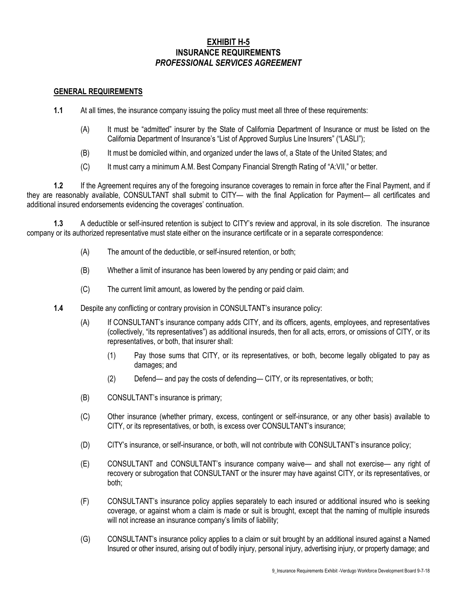# **EXHIBIT H-5 INSURANCE REQUIREMENTS** *PROFESSIONAL SERVICES AGREEMENT*

### **GENERAL REQUIREMENTS**

- **1.1** At all times, the insurance company issuing the policy must meet all three of these requirements:
	- (A) It must be "admitted" insurer by the State of California Department of Insurance or must be listed on the California Department of Insurance's "List of Approved Surplus Line Insurers" ("LASLI");
	- (B) It must be domiciled within, and organized under the laws of, a State of the United States; and
	- (C) It must carry a minimum A.M. Best Company Financial Strength Rating of "A:VII," or better.

**1.2** If the Agreement requires any of the foregoing insurance coverages to remain in force after the Final Payment, and if they are reasonably available, CONSULTANT shall submit to CITY— with the final Application for Payment— all certificates and additional insured endorsements evidencing the coverages' continuation.

**1.3** A deductible or self-insured retention is subject to CITY's review and approval, in its sole discretion. The insurance company or its authorized representative must state either on the insurance certificate or in a separate correspondence:

- (A) The amount of the deductible, or self-insured retention, or both;
- (B) Whether a limit of insurance has been lowered by any pending or paid claim; and
- (C) The current limit amount, as lowered by the pending or paid claim.
- **1.4** Despite any conflicting or contrary provision in CONSULTANT's insurance policy:
	- (A) If CONSULTANT's insurance company adds CITY, and its officers, agents, employees, and representatives (collectively, "its representatives") as additional insureds, then for all acts, errors, or omissions of CITY, or its representatives, or both, that insurer shall:
		- (1) Pay those sums that CITY, or its representatives, or both, become legally obligated to pay as damages; and
		- (2) Defend— and pay the costs of defending— CITY, or its representatives, or both;
	- (B) CONSULTANT's insurance is primary;
	- (C) Other insurance (whether primary, excess, contingent or self-insurance, or any other basis) available to CITY, or its representatives, or both, is excess over CONSULTANT's insurance;
	- (D) CITY's insurance, or self-insurance, or both, will not contribute with CONSULTANT's insurance policy;
	- (E) CONSULTANT and CONSULTANT's insurance company waive— and shall not exercise— any right of recovery or subrogation that CONSULTANT or the insurer may have against CITY, or its representatives, or both;
	- (F) CONSULTANT's insurance policy applies separately to each insured or additional insured who is seeking coverage, or against whom a claim is made or suit is brought, except that the naming of multiple insureds will not increase an insurance company's limits of liability;
	- (G) CONSULTANT's insurance policy applies to a claim or suit brought by an additional insured against a Named Insured or other insured, arising out of bodily injury, personal injury, advertising injury, or property damage; and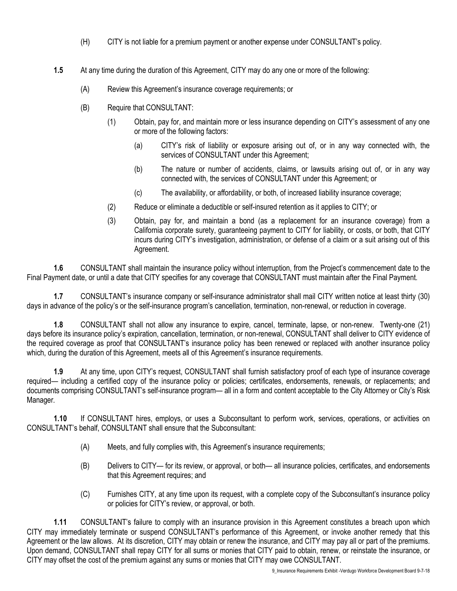- (H) CITY is not liable for a premium payment or another expense under CONSULTANT's policy.
- **1.5** At any time during the duration of this Agreement, CITY may do any one or more of the following:
	- (A) Review this Agreement's insurance coverage requirements; or
	- (B) Require that CONSULTANT:
		- (1) Obtain, pay for, and maintain more or less insurance depending on CITY's assessment of any one or more of the following factors:
			- (a) CITY's risk of liability or exposure arising out of, or in any way connected with, the services of CONSULTANT under this Agreement;
			- (b) The nature or number of accidents, claims, or lawsuits arising out of, or in any way connected with, the services of CONSULTANT under this Agreement; or
			- (c) The availability, or affordability, or both, of increased liability insurance coverage;
		- (2) Reduce or eliminate a deductible or self-insured retention as it applies to CITY; or
		- (3) Obtain, pay for, and maintain a bond (as a replacement for an insurance coverage) from a California corporate surety, guaranteeing payment to CITY for liability, or costs, or both, that CITY incurs during CITY's investigation, administration, or defense of a claim or a suit arising out of this Agreement.

**1.6** CONSULTANT shall maintain the insurance policy without interruption, from the Project's commencement date to the Final Payment date, or until a date that CITY specifies for any coverage that CONSULTANT must maintain after the Final Payment.

**1.7** CONSULTANT's insurance company or self-insurance administrator shall mail CITY written notice at least thirty (30) days in advance of the policy's or the self-insurance program's cancellation, termination, non-renewal, or reduction in coverage.

**1.8** CONSULTANT shall not allow any insurance to expire, cancel, terminate, lapse, or non-renew. Twenty-one (21) days before its insurance policy's expiration, cancellation, termination, or non-renewal, CONSULTANT shall deliver to CITY evidence of the required coverage as proof that CONSULTANT's insurance policy has been renewed or replaced with another insurance policy which, during the duration of this Agreement, meets all of this Agreement's insurance requirements.

**1.9** At any time, upon CITY's request, CONSULTANT shall furnish satisfactory proof of each type of insurance coverage required— including a certified copy of the insurance policy or policies; certificates, endorsements, renewals, or replacements; and documents comprising CONSULTANT's self-insurance program— all in a form and content acceptable to the City Attorney or City's Risk Manager.

**1.10** If CONSULTANT hires, employs, or uses a Subconsultant to perform work, services, operations, or activities on CONSULTANT's behalf, CONSULTANT shall ensure that the Subconsultant:

- (A) Meets, and fully complies with, this Agreement's insurance requirements;
- (B) Delivers to CITY— for its review, or approval, or both— all insurance policies, certificates, and endorsements that this Agreement requires; and
- (C) Furnishes CITY, at any time upon its request, with a complete copy of the Subconsultant's insurance policy or policies for CITY's review, or approval, or both.

**1.11** CONSULTANT's failure to comply with an insurance provision in this Agreement constitutes a breach upon which CITY may immediately terminate or suspend CONSULTANT's performance of this Agreement, or invoke another remedy that this Agreement or the law allows. At its discretion, CITY may obtain or renew the insurance, and CITY may pay all or part of the premiums. Upon demand, CONSULTANT shall repay CITY for all sums or monies that CITY paid to obtain, renew, or reinstate the insurance, or CITY may offset the cost of the premium against any sums or monies that CITY may owe CONSULTANT.